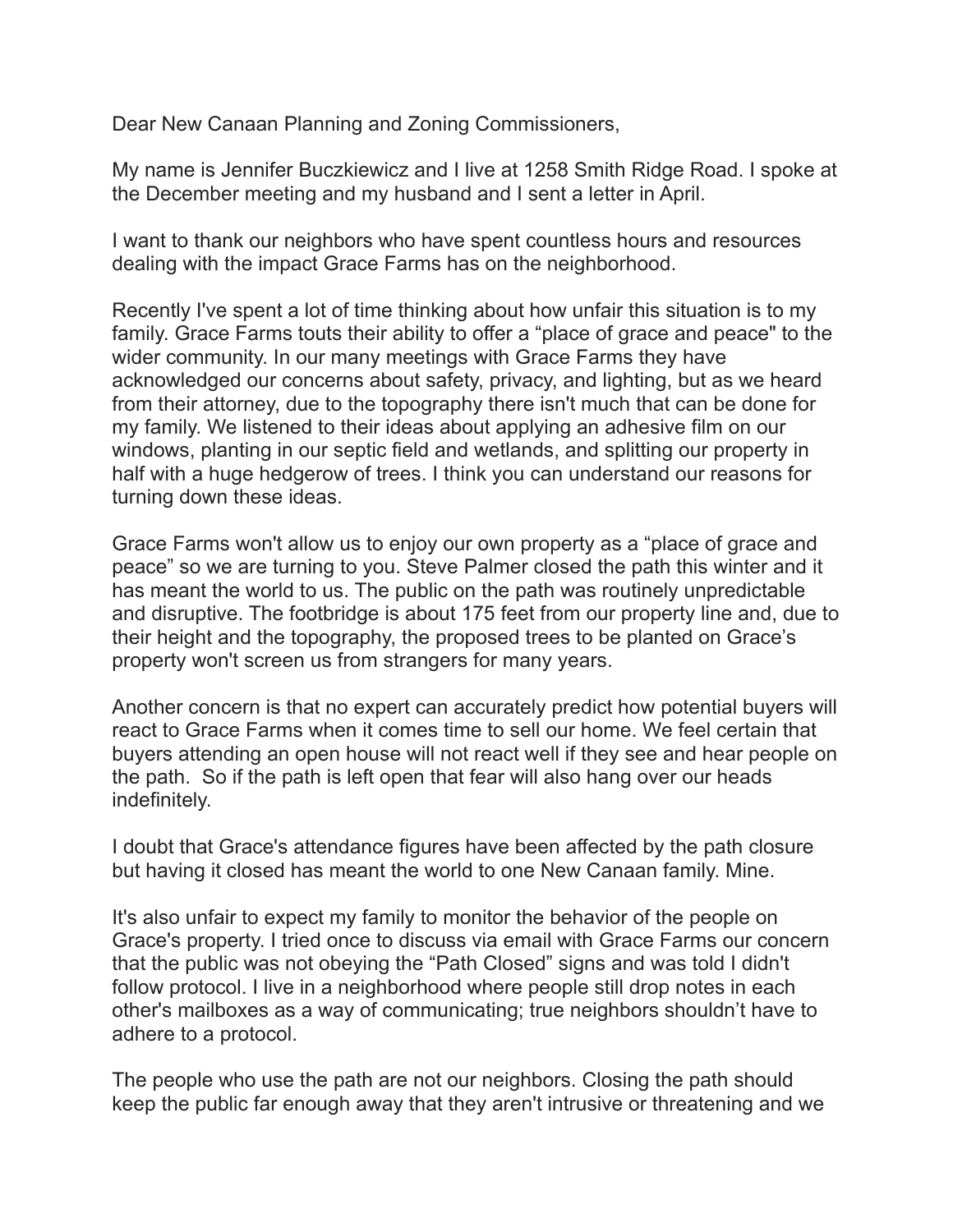Dear New Canaan Planning and Zoning Commissioners,

My name is Jennifer Buczkiewicz and I live at 1258 Smith Ridge Road. I spoke at the December meeting and my husband and I sent a letter in April.

I want to thank our neighbors who have spent countless hours and resources dealing with the impact Grace Farms has on the neighborhood.

Recently I've spent a lot of time thinking about how unfair this situation is to my family. Grace Farms touts their ability to offer a "place of grace and peace" to the wider community. In our many meetings with Grace Farms they have acknowledged our concerns about safety, privacy, and lighting, but as we heard from their attorney, due to the topography there isn't much that can be done for my family. We listened to their ideas about applying an adhesive film on our windows, planting in our septic field and wetlands, and splitting our property in half with a huge hedgerow of trees. I think you can understand our reasons for turning down these ideas.

Grace Farms won't allow us to enjoy our own property as a "place of grace and peace" so we are turning to you. Steve Palmer closed the path this winter and it has meant the world to us. The public on the path was routinely unpredictable and disruptive. The footbridge is about 175 feet from our property line and, due to their height and the topography, the proposed trees to be planted on Grace's property won't screen us from strangers for many years.

Another concern is that no expert can accurately predict how potential buyers will react to Grace Farms when it comes time to sell our home. We feel certain that buyers attending an open house will not react well if they see and hear people on the path. So if the path is left open that fear will also hang over our heads indefinitely.

I doubt that Grace's attendance figures have been affected by the path closure but having it closed has meant the world to one New Canaan family. Mine.

It's also unfair to expect my family to monitor the behavior of the people on Grace's property. I tried once to discuss via email with Grace Farms our concern that the public was not obeying the "Path Closed" signs and was told I didn't follow protocol. I live in a neighborhood where people still drop notes in each other's mailboxes as a way of communicating; true neighbors shouldn't have to adhere to a protocol.

The people who use the path are not our neighbors. Closing the path should keep the public far enough away that they aren't intrusive or threatening and we